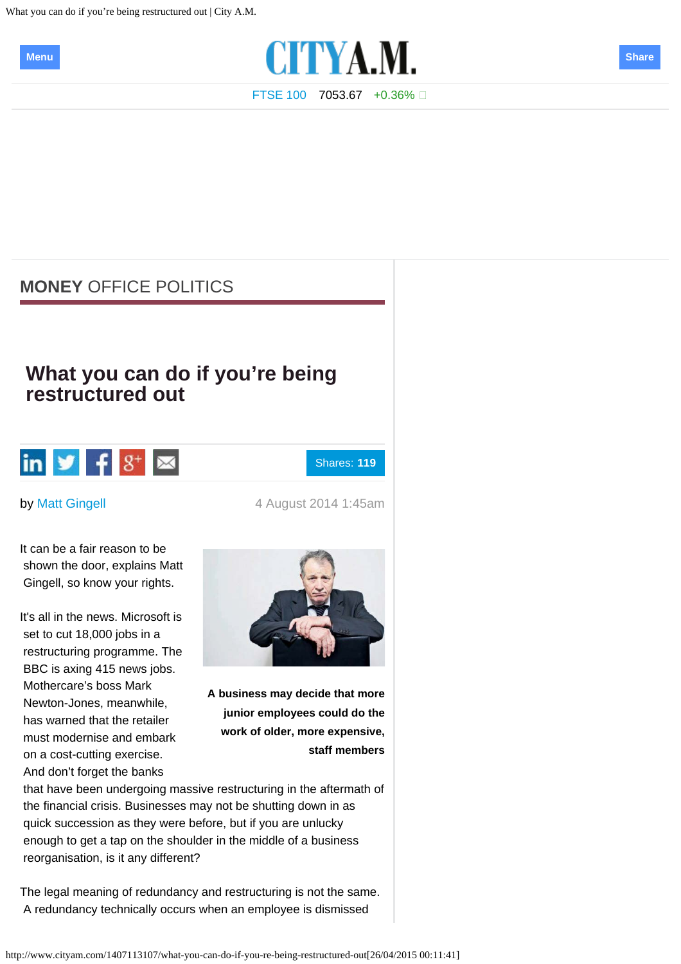<span id="page-0-0"></span>What you can do if you're being restructured out | City A.M.





[FTSE 100](http://www.cityam.com/ftse-100) 7053.67 +0.36%

## **[MONEY](http://www.cityam.com/money?ITO=nav-crumb-money)** [OFFICE POLITICS](http://www.cityam.com/money/office-politics?ITO=nav-crumb-money-office-politics)

## **What you can do if you're being restructured out**



Shares: **119**

by [Matt Gingell](http://www.cityam.com/profile/matt-gingell) **by Matt Cingell** 4 August 2014 1:45am

It can be a fair reason to be shown the door, explains Matt Gingell, so know your rights.

It's all in the news. Microsoft is set to cut 18,000 jobs in a restructuring programme. The BBC is axing 415 news jobs. Mothercare's boss Mark Newton-Jones, meanwhile, has warned that the retailer must modernise and embark on a cost-cutting exercise. And don't forget the banks



**A business may decide that more junior employees could do the work of older, more expensive, staff members**

 that have been undergoing massive restructuring in the aftermath of the financial crisis. Businesses may not be shutting down in as quick succession as they were before, but if you are unlucky enough to get a tap on the shoulder in the middle of a business reorganisation, is it any different?

The legal meaning of redundancy and restructuring is not the same. A redundancy technically occurs when an employee is dismissed